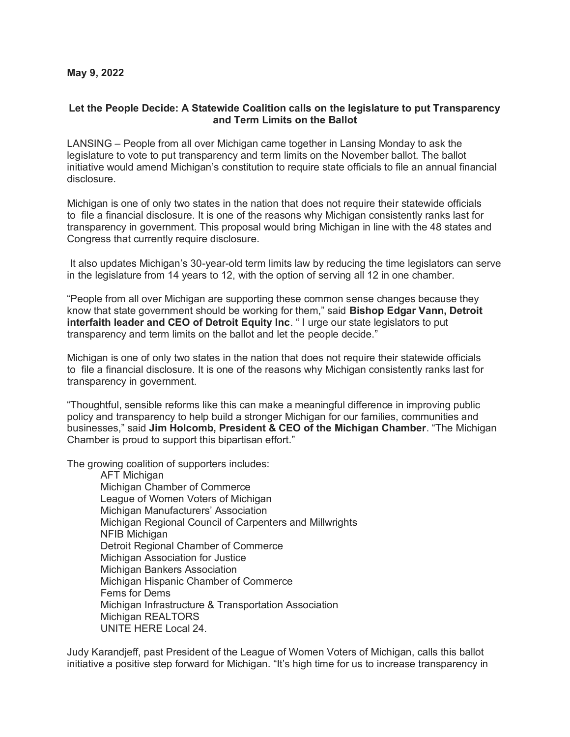## **Let the People Decide: A Statewide Coalition calls on the legislature to put Transparency and Term Limits on the Ballot**

LANSING – People from all over Michigan came together in Lansing Monday to ask the legislature to vote to put transparency and term limits on the November ballot. The ballot initiative would amend Michigan's constitution to require state officials to file an annual financial disclosure.

Michigan is one of only two states in the nation that does not require their statewide officials to file a financial disclosure. It is one of the reasons why Michigan consistently ranks last for transparency in government. This proposal would bring Michigan in line with the 48 states and Congress that currently require disclosure.

It also updates Michigan's 30-year-old term limits law by reducing the time legislators can serve in the legislature from 14 years to 12, with the option of serving all 12 in one chamber.

"People from all over Michigan are supporting these common sense changes because they know that state government should be working for them," said **Bishop Edgar Vann, Detroit interfaith leader and CEO of Detroit Equity Inc**. " I urge our state legislators to put transparency and term limits on the ballot and let the people decide."

Michigan is one of only two states in the nation that does not require their statewide officials to file a financial disclosure. It is one of the reasons why Michigan consistently ranks last for transparency in government.

"Thoughtful, sensible reforms like this can make a meaningful difference in improving public policy and transparency to help build a stronger Michigan for our families, communities and businesses," said **Jim Holcomb, President & CEO of the Michigan Chamber**. "The Michigan Chamber is proud to support this bipartisan effort."

The growing coalition of supporters includes:

AFT Michigan Michigan Chamber of Commerce League of Women Voters of Michigan Michigan Manufacturers' Association Michigan Regional Council of Carpenters and Millwrights NFIB Michigan Detroit Regional Chamber of Commerce Michigan Association for Justice Michigan Bankers Association Michigan Hispanic Chamber of Commerce Fems for Dems Michigan Infrastructure & Transportation Association Michigan REALTORS UNITE HERE Local 24.

Judy Karandjeff, past President of the League of Women Voters of Michigan, calls this ballot initiative a positive step forward for Michigan. "It's high time for us to increase transparency in